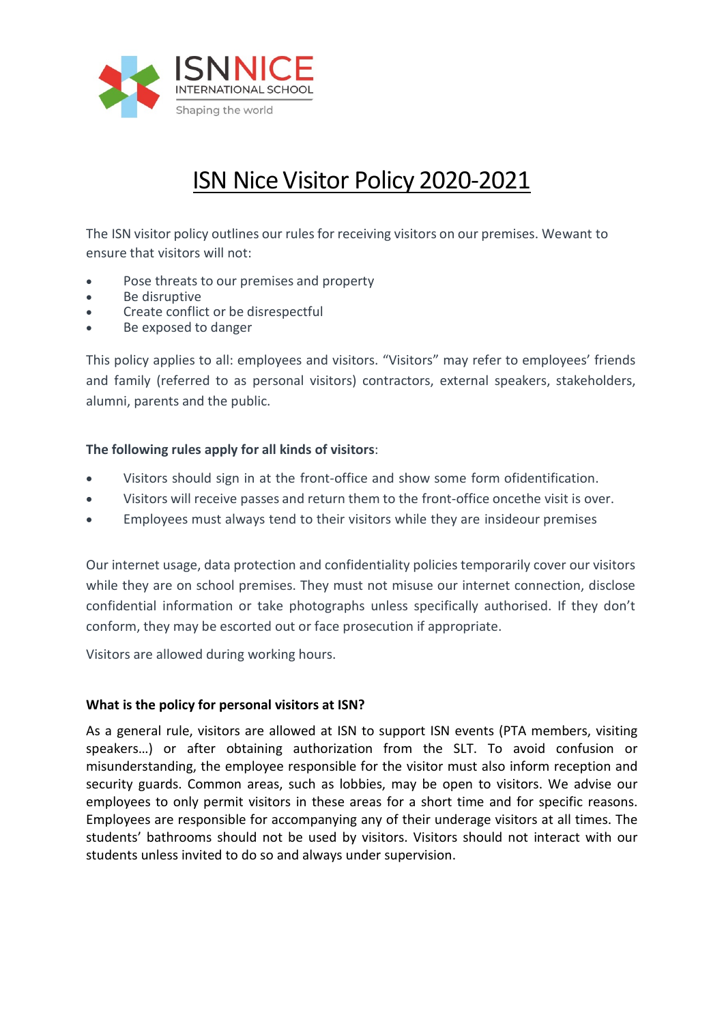

# ISN Nice Visitor Policy 2020-2021

The ISN visitor policy outlines our rules for receiving visitors on our premises. Wewant to ensure that visitors will not:

- Pose threats to our premises and property
- Be disruptive
- Create conflict or be disrespectful
- Be exposed to danger

This policy applies to all: employees and visitors. "Visitors" may refer to employees' friends and family (referred to as personal visitors) contractors, external speakers, stakeholders, alumni, parents and the public.

## **The following rules apply for all kinds of visitors**:

- Visitors should sign in at the front-office and show some form ofidentification.
- Visitors will receive passes and return them to the front-office oncethe visit is over.
- Employees must always tend to their visitors while they are insideour premises

Our internet usage, data protection and confidentiality policies temporarily cover our visitors while they are on school premises. They must not misuse our internet connection, disclose confidential information or take photographs unless specifically authorised. If they don't conform, they may be escorted out or face prosecution if appropriate.

Visitors are allowed during working hours.

### **What is the policy for personal visitors at ISN?**

As a general rule, visitors are allowed at ISN to support ISN events (PTA members, visiting speakers…) or after obtaining authorization from the SLT. To avoid confusion or misunderstanding, the employee responsible for the visitor must also inform reception and security guards. Common areas, such as lobbies, may be open to visitors. We advise our employees to only permit visitors in these areas for a short time and for specific reasons. Employees are responsible for accompanying any of their underage visitors at all times. The students' bathrooms should not be used by visitors. Visitors should not interact with our students unless invited to do so and always under supervision.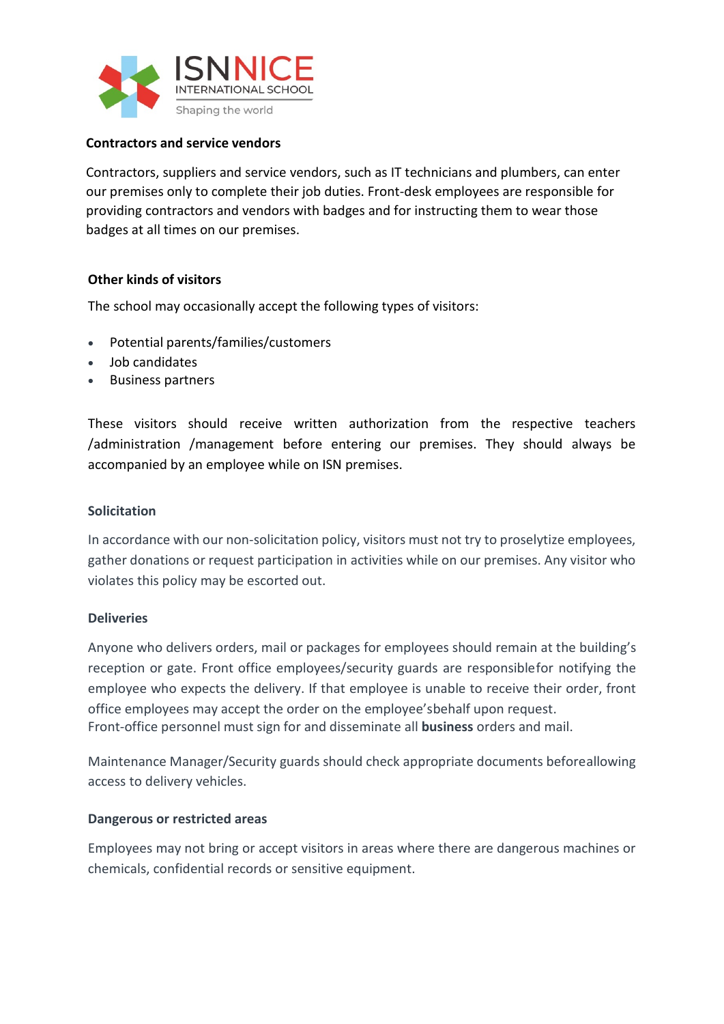

## **Contractors and service vendors**

Contractors, suppliers and service vendors, such as IT technicians and plumbers, can enter our premises only to complete their job duties. Front-desk employees are responsible for providing contractors and vendors with badges and for instructing them to wear those badges at all times on our premises.

## **Other kinds of visitors**

The school may occasionally accept the following types of visitors:

- Potential parents/families/customers
- Job candidates
- Business partners

These visitors should receive written authorization from the respective teachers /administration /management before entering our premises. They should always be accompanied by an employee while on ISN premises.

### **Solicitation**

In accordance with our non-solicitation policy, visitors must not try to proselytize employees, gather donations or request participation in activities while on our premises. Any visitor who violates this policy may be escorted out.

### **Deliveries**

Anyone who delivers orders, mail or packages for employees should remain at the building's reception or gate. Front office employees/security guards are responsiblefor notifying the employee who expects the delivery. If that employee is unable to receive their order, front office employees may accept the order on the employee'sbehalf upon request. Front-office personnel must sign for and disseminate all **business** orders and mail.

Maintenance Manager/Security guards should check appropriate documents beforeallowing access to delivery vehicles.

### **Dangerous or restricted areas**

Employees may not bring or accept visitors in areas where there are dangerous machines or chemicals, confidential records or sensitive equipment.